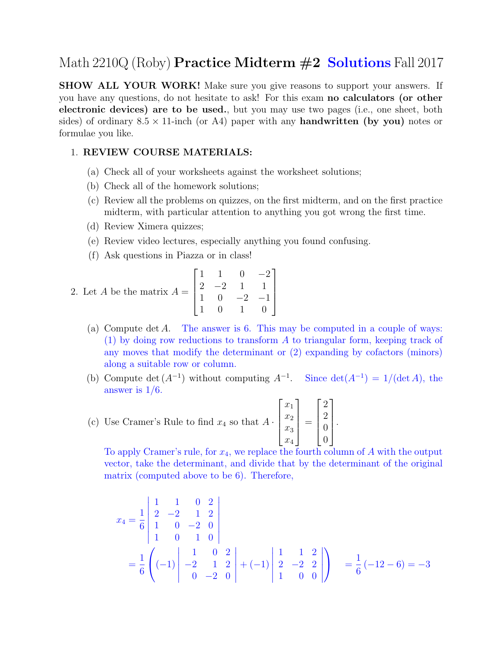## Math  $2210Q$  (Roby) **Practice Midterm**  $\#2$  **Solutions** Fall 2017

SHOW ALL YOUR WORK! Make sure you give reasons to support your answers. If you have any questions, do not hesitate to ask! For this exam no calculators (or other electronic devices) are to be used., but you may use two pages (i.e., one sheet, both sides) of ordinary  $8.5 \times 11$ -inch (or A4) paper with any **handwritten (by you)** notes or formulae you like.

## 1. REVIEW COURSE MATERIALS:

- (a) Check all of your worksheets against the worksheet solutions;
- (b) Check all of the homework solutions;
- (c) Review all the problems on quizzes, on the first midterm, and on the first practice midterm, with particular attention to anything you got wrong the first time.
- (d) Review Ximera quizzes;
- (e) Review video lectures, especially anything you found confusing.
- (f) Ask questions in Piazza or in class!

2. Let *A* be the matrix 
$$
A = \begin{bmatrix} 1 & 1 & 0 & -2 \\ 2 & -2 & 1 & 1 \\ 1 & 0 & -2 & -1 \\ 1 & 0 & 1 & 0 \end{bmatrix}
$$

- (a) Compute det A. The answer is 6. This may be computed in a couple of ways: (1) by doing row reductions to transform A to triangular form, keeping track of any moves that modify the determinant or (2) expanding by cofactors (minors) along a suitable row or column.
- (b) Compute det  $(A^{-1})$  without computing  $A^{-1}$ . Since det $(A^{-1}) = 1/(\det A)$ , the answer is  $1/6$ .

(c) Use Cramer's Rule to find 
$$
x_4
$$
 so that  $A \cdot \begin{bmatrix} x_1 \\ x_2 \\ x_3 \\ x_4 \end{bmatrix} = \begin{bmatrix} 2 \\ 2 \\ 0 \\ 0 \end{bmatrix}$ .

To apply Cramer's rule, for  $x_4$ , we replace the fourth column of A with the output vector, take the determinant, and divide that by the determinant of the original matrix (computed above to be 6). Therefore,

$$
x_4 = \frac{1}{6} \begin{vmatrix} 1 & 1 & 0 & 2 \\ 2 & -2 & 1 & 2 \\ 1 & 0 & -2 & 0 \\ 1 & 0 & 1 & 0 \end{vmatrix}
$$
  
=  $\frac{1}{6} \left( (-1) \begin{vmatrix} 1 & 0 & 2 \\ -2 & 1 & 2 \\ 0 & -2 & 0 \end{vmatrix} + (-1) \begin{vmatrix} 1 & 1 & 2 \\ 2 & -2 & 2 \\ 1 & 0 & 0 \end{vmatrix} \right) = \frac{1}{6} (-12 - 6) = -3$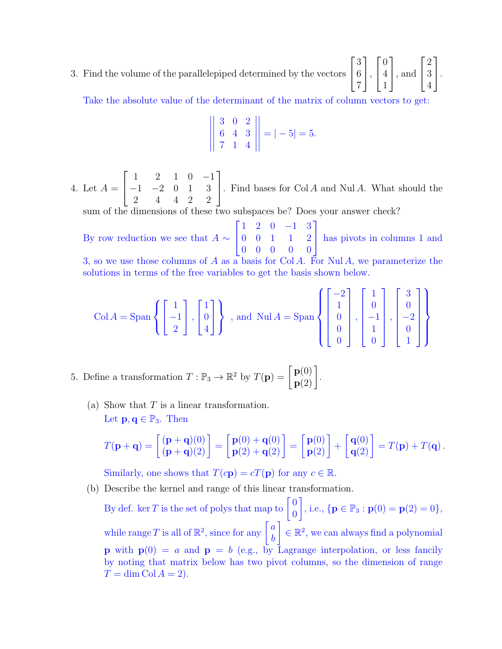3. Find the volume of the parallelepiped determined by the vectors  $\sqrt{ }$  $\overline{1}$ 3 6 7 1  $\vert$ ,  $\sqrt{ }$  $\overline{1}$ 0 4 1 1 , and  $\sqrt{ }$  $\overline{\phantom{a}}$ 2 3 4 1  $\vert \cdot$ 

Take the absolute value of the determinant of the matrix of column vectors to get:  $\mathbb{R}^2$ 

$$
\left\| \begin{array}{ccc} 3 & 0 & 2 \\ 6 & 4 & 3 \\ 7 & 1 & 4 \end{array} \right\| = |-5| = 5.
$$

4. Let  $A =$  $\sqrt{ }$  $\overline{1}$ 1 2 1 0 −1 −1 −2 0 1 3 2 4 4 2 2 1 . Find bases for  $Col A$  and  $Nul A$ . What should the

sum of the dimensions of these two subspaces be? Does your answer check?

By row reduction we see that  $A \sim$  $\sqrt{ }$  $\mathbf{I}$ 1 2 0 −1 3 0 0 1 1 2 0 0 0 0 0 1 has pivots in columns 1 and

3, so we use those columns of A as a basis for Col A. For Nul A, we parameterize the solutions in terms of the free variables to get the basis shown below.

$$
\text{Col } A = \text{Span } \left\{ \begin{bmatrix} 1 \\ -1 \\ 2 \end{bmatrix}, \begin{bmatrix} 1 \\ 0 \\ 4 \end{bmatrix} \right\}, \text{ and } \text{Nul } A = \text{Span } \left\{ \begin{bmatrix} -2 \\ 1 \\ 0 \\ 0 \\ 0 \end{bmatrix}, \begin{bmatrix} 1 \\ 0 \\ -1 \\ 1 \\ 0 \end{bmatrix}, \begin{bmatrix} 3 \\ 0 \\ -2 \\ 0 \\ 1 \end{bmatrix} \right\}
$$

5. Define a transformation  $T : \mathbb{P}_3 \to \mathbb{R}^2$  by  $T(\mathbf{p}) = \begin{bmatrix} \mathbf{p}(0) \\ \mathbf{p}(2) \end{bmatrix}$ .

(a) Show that  $T$  is a linear transformation. Let  $\mathbf{p}, \mathbf{q} \in \mathbb{P}_3$ . Then

$$
T(\mathbf{p}+\mathbf{q}) = \begin{bmatrix} (\mathbf{p}+\mathbf{q})(0) \\ (\mathbf{p}+\mathbf{q})(2) \end{bmatrix} = \begin{bmatrix} \mathbf{p}(0) + \mathbf{q}(0) \\ \mathbf{p}(2) + \mathbf{q}(2) \end{bmatrix} = \begin{bmatrix} \mathbf{p}(0) \\ \mathbf{p}(2) \end{bmatrix} + \begin{bmatrix} \mathbf{q}(0) \\ \mathbf{q}(2) \end{bmatrix} = T(\mathbf{p}) + T(\mathbf{q}).
$$

Similarly, one shows that  $T(c\mathbf{p}) = cT(\mathbf{p})$  for any  $c \in \mathbb{R}$ .

(b) Describe the kernel and range of this linear transformation.

By def. ker T is the set of polys that map to  $\begin{bmatrix} 0 \\ 0 \end{bmatrix}$ 0 , i.e.,  $\{ \mathbf{p} \in \mathbb{P}_3 : \mathbf{p}(0) = \mathbf{p}(2) = 0 \},\$ while range T is all of  $\mathbb{R}^2$ , since for any  $\begin{bmatrix} a \\ b \end{bmatrix}$ b  $\Big] \in \mathbb{R}^2$ , we can always find a polynomial **p** with  $p(0) = a$  and  $p = b$  (e.g., by Lagrange interpolation, or less fancily by noting that matrix below has two pivot columns, so the dimension of range  $T = \dim \mathrm{Col } A = 2$ .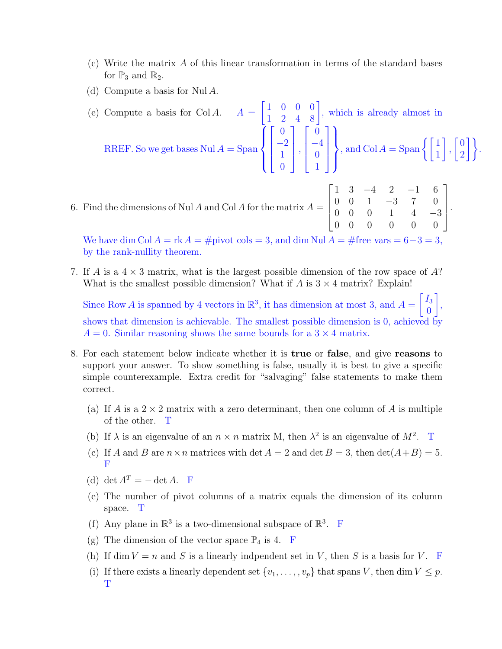- (c) Write the matrix A of this linear transformation in terms of the standard bases for  $\mathbb{P}_3$  and  $\mathbb{R}_2$ .
- (d) Compute a basis for Nul A.

(e) Compute a basis for Col A.  $A =$  $\begin{bmatrix} 1 & 0 & 0 & 0 \\ 1 & 2 & 4 & 8 \end{bmatrix}$ , which is already almost in RREF. So we get bases  $\text{Nul } A = \text{Span } A$  $\overline{1}$  $\int$  $\overline{\mathcal{L}}$  $\sqrt{ }$  $\overline{\phantom{a}}$ 0 −2 1  $\overline{0}$ 1  $\parallel$ ,  $\sqrt{ }$  $\overline{\phantom{a}}$ 0 −4 0 1 1  $\parallel$  $\mathcal{L}$  $\overline{\mathcal{L}}$  $\int$ , and  $\text{Col } A = \text{Span } \left\{ \begin{bmatrix} 1 \\ 1 \end{bmatrix} \right\}$ 1 ,  $\lceil 0$  $\begin{bmatrix} 0 \\ 2 \end{bmatrix}$ .

.

6. Find the dimensions of Nul A and Col A for the matrix  $A =$  $\sqrt{ }$  1 3 −4 2 −1 6 0 0 1 −3 7 0 0 0 0 1 4 −3 0 0 0 0 0 0 1 

We have dim Col  $A = \text{rk } A = \text{\#pivot } \text{cols} = 3$ , and dim Nul  $A = \text{\#free } \text{vars} = 6-3=3$ , by the rank-nullity theorem.

7. If A is a  $4 \times 3$  matrix, what is the largest possible dimension of the row space of A? What is the smallest possible dimension? What if  $A$  is  $3 \times 4$  matrix? Explain!

Since Row A is spanned by 4 vectors in  $\mathbb{R}^3$ , it has dimension at most 3, and  $A =$  $\lceil I_3 \rceil$  $\boldsymbol{0}$ 1 , shows that dimension is achievable. The smallest possible dimension is 0, achieved by  $A = 0$ . Similar reasoning shows the same bounds for a  $3 \times 4$  matrix.

- 8. For each statement below indicate whether it is true or false, and give reasons to support your answer. To show something is false, usually it is best to give a specific simple counterexample. Extra credit for "salvaging" false statements to make them correct.
	- (a) If A is a  $2 \times 2$  matrix with a zero determinant, then one column of A is multiple of the other. T
	- (b) If  $\lambda$  is an eigenvalue of an  $n \times n$  matrix M, then  $\lambda^2$  is an eigenvalue of  $M^2$ . T
	- (c) If A and B are  $n \times n$  matrices with det  $A = 2$  and det  $B = 3$ , then  $\det(A + B) = 5$ . F
	- (d) det  $A^T = \det A$ . F
	- (e) The number of pivot columns of a matrix equals the dimension of its column space. T
	- (f) Any plane in  $\mathbb{R}^3$  is a two-dimensional subspace of  $\mathbb{R}^3$ . F
	- (g) The dimension of the vector space  $\mathbb{P}_4$  is 4. F
	- (h) If dim  $V = n$  and S is a linearly indpendent set in V, then S is a basis for V. F
	- (i) If there exists a linearly dependent set  $\{v_1, \ldots, v_p\}$  that spans V, then dim  $V \leq p$ . T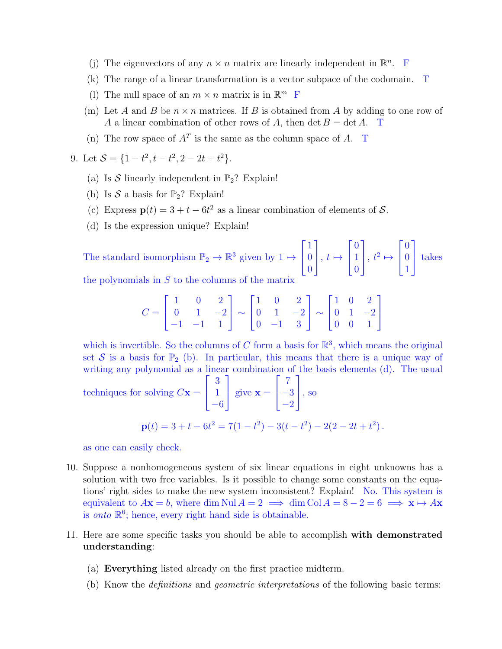- (j) The eigenvectors of any  $n \times n$  matrix are linearly independent in  $\mathbb{R}^n$ . F
- (k) The range of a linear transformation is a vector subpace of the codomain. T
- (1) The null space of an  $m \times n$  matrix is in  $\mathbb{R}^m$  F
- (m) Let A and B be  $n \times n$  matrices. If B is obtained from A by adding to one row of A a linear combination of other rows of A, then det  $B = \det A$ . T
- (n) The row space of  $A<sup>T</sup>$  is the same as the column space of A. T

9. Let  $S = \{1 - t^2, t - t^2, 2 - 2t + t^2\}.$ 

- (a) Is S linearly independent in  $\mathbb{P}_2$ ? Explain!
- (b) Is  $S$  a basis for  $\mathbb{P}_2$ ? Explain!
- (c) Express  $\mathbf{p}(t) = 3 + t 6t^2$  as a linear combination of elements of S.
- (d) Is the expression unique? Explain!

The standard isomorphism  $\mathbb{P}_2 \to \mathbb{R}^3$  given by  $1 \mapsto$  $\sqrt{ }$  $\mathbf{I}$ 1  $\overline{0}$ 0 1  $\Big\vert$ ,  $t \mapsto$  $\sqrt{ }$  $\mathbf{I}$ 0 1 0 1  $\Big\vert \, , \, t^2 \mapsto$  $\sqrt{ }$  $\mathbf{I}$ 0  $\boldsymbol{0}$ 1 1 takes

the polynomials in  $S$  to the columns of the matrix

$$
C = \begin{bmatrix} 1 & 0 & 2 \\ 0 & 1 & -2 \\ -1 & -1 & 1 \end{bmatrix} \sim \begin{bmatrix} 1 & 0 & 2 \\ 0 & 1 & -2 \\ 0 & -1 & 3 \end{bmatrix} \sim \begin{bmatrix} 1 & 0 & 2 \\ 0 & 1 & -2 \\ 0 & 0 & 1 \end{bmatrix}
$$

which is invertible. So the columns of C form a basis for  $\mathbb{R}^3$ , which means the original set S is a basis for  $\mathbb{P}_2$  (b). In particular, this means that there is a unique way of writing any polynomial as a linear combination of the basis elements (d). The usual

techniques for solving 
$$
C
$$
**x** =  $\begin{bmatrix} 3 \\ 1 \\ -6 \end{bmatrix}$  give **x** =  $\begin{bmatrix} 7 \\ -3 \\ -2 \end{bmatrix}$ , so  

$$
\mathbf{p}(t) = 3 + t - 6t^2 = 7(1 - t^2) - 3(t - t^2) - 2(2 - 2t + t^2).
$$

as one can easily check.

- 10. Suppose a nonhomogeneous system of six linear equations in eight unknowns has a solution with two free variables. Is it possible to change some constants on the equations' right sides to make the new system inconsistent? Explain! No. This system is equivalent to  $A\mathbf{x} = b$ , where dim Nul  $A = 2 \implies \dim \mathrm{Col } A = 8 - 2 = 6 \implies \mathbf{x} \mapsto A\mathbf{x}$ is onto  $\mathbb{R}^6$ ; hence, every right hand side is obtainable.
- 11. Here are some specific tasks you should be able to accomplish with demonstrated understanding:
	- (a) Everything listed already on the first practice midterm.
	- (b) Know the definitions and geometric interpretations of the following basic terms: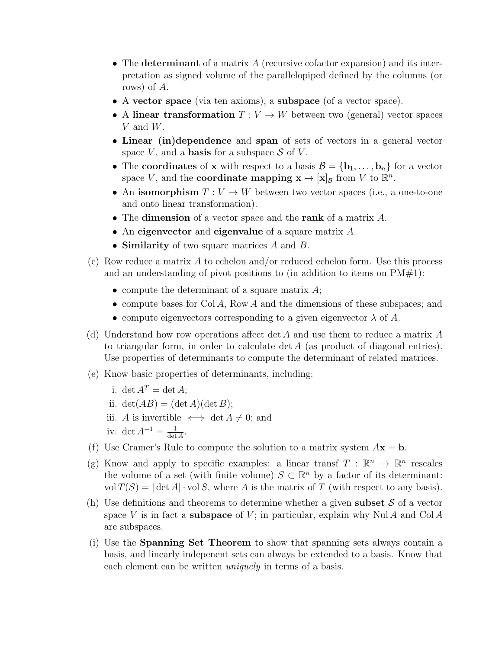- The determinant of a matrix  $A$  (recursive cofactor expansion) and its interpretation as signed volume of the parallelopiped defined by the columns (or rows) of A.
- A vector space (via ten axioms), a subspace (of a vector space).
- A linear transformation  $T: V \to W$  between two (general) vector spaces V and W.
- Linear (in)dependence and span of sets of vectors in a general vector space V, and a **basis** for a subspace  $S$  of V.
- The coordinates of x with respect to a basis  $\mathcal{B} = {\bf{b}_1, \ldots, b_n}$  for a vector space V, and the **coordinate mapping**  $\mathbf{x} \mapsto [\mathbf{x}]_B$  from V to  $\mathbb{R}^n$ .
- An isomorphism  $T: V \to W$  between two vector spaces (i.e., a one-to-one and onto linear transformation).
- The **dimension** of a vector space and the **rank** of a matrix A.
- An eigenvector and eigenvalue of a square matrix A.
- Similarity of two square matrices A and B.
- (c) Row reduce a matrix A to echelon and/or reduced echelon form. Use this process and an understanding of pivot positions to (in addition to items on  $PM#1$ ):
	- compute the determinant of a square matrix  $A$ ;
	- compute bases for Col A, Row A and the dimensions of these subspaces; and
	- compute eigenvectors corresponding to a given eigenvector  $\lambda$  of A.
- (d) Understand how row operations affect det A and use them to reduce a matrix A to triangular form, in order to calculate det A (as product of diagonal entries). Use properties of determinants to compute the determinant of related matrices.
- (e) Know basic properties of determinants, including:
	- i. det  $A^T = \det A$ ; ii.  $\det(AB) = (\det A)(\det B);$ iii. A is invertible  $\iff$  det  $A \neq 0$ ; and iv. det  $A^{-1} = \frac{1}{\det A}$  $\frac{1}{\det A}$ .
- (f) Use Cramer's Rule to compute the solution to a matrix system  $A\mathbf{x} = \mathbf{b}$ .
- (g) Know and apply to specific examples: a linear transf  $T : \mathbb{R}^n \to \mathbb{R}^n$  rescales the volume of a set (with finite volume)  $S \subset \mathbb{R}^n$  by a factor of its determinant: vol  $T(S) = |\det A| \cdot \text{vol } S$ , where A is the matrix of T (with respect to any basis).
- (h) Use definitions and theorems to determine whether a given **subset**  $S$  of a vector space V is in fact a **subspace** of V; in particular, explain why Nul A and Col A are subspaces.
- (i) Use the Spanning Set Theorem to show that spanning sets always contain a basis, and linearly indepenent sets can always be extended to a basis. Know that each element can be written *uniquely* in terms of a basis.